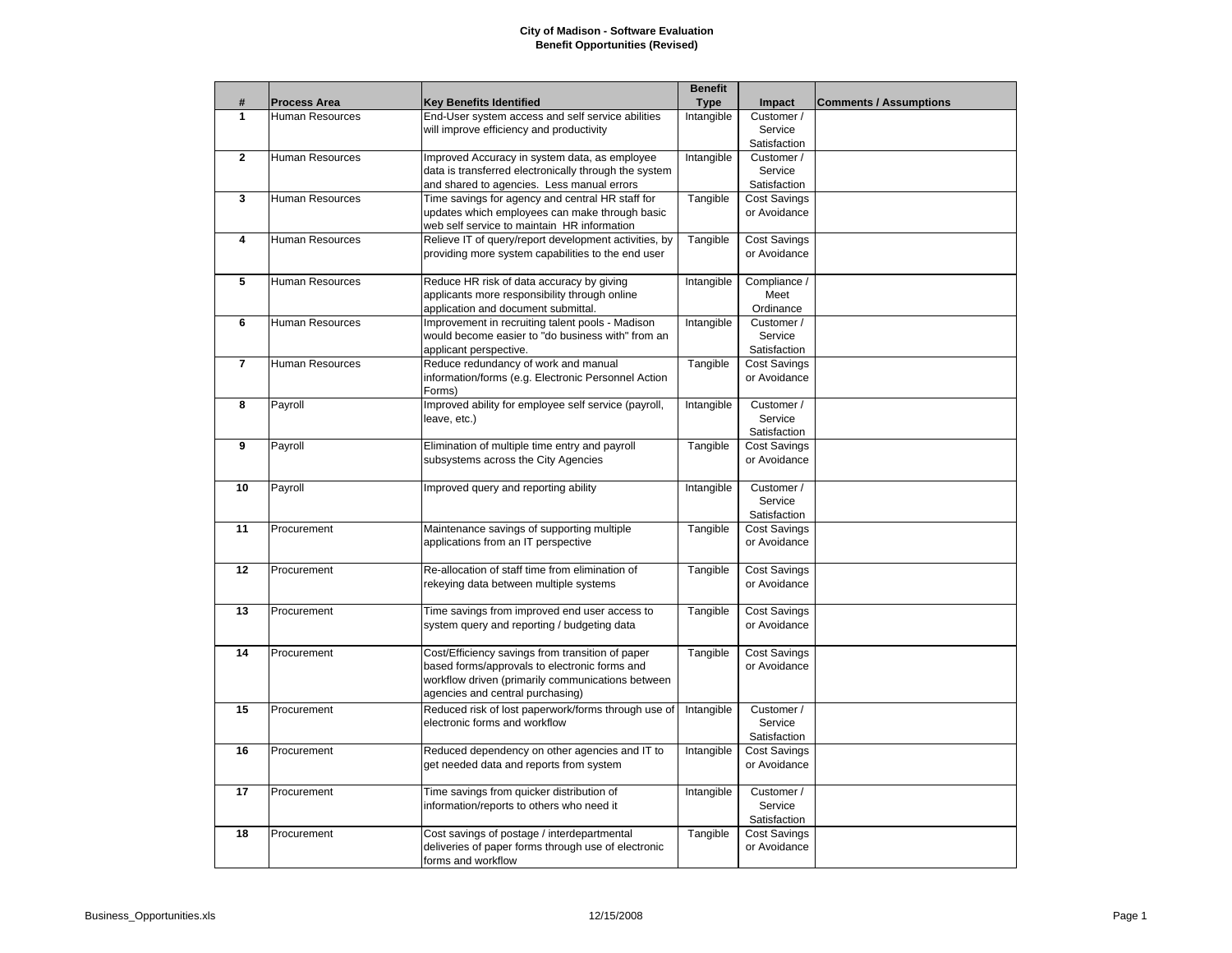## **City of Madison - Software Evaluation Benefit Opportunities (Revised)**

|                |                        |                                                       | <b>Benefit</b> |                     |                               |
|----------------|------------------------|-------------------------------------------------------|----------------|---------------------|-------------------------------|
| #              | <b>Process Area</b>    | <b>Key Benefits Identified</b>                        | <b>Type</b>    | Impact              | <b>Comments / Assumptions</b> |
| 1              | Human Resources        | End-User system access and self service abilities     | Intangible     | Customer /          |                               |
|                |                        | will improve efficiency and productivity              |                | Service             |                               |
|                |                        |                                                       |                | Satisfaction        |                               |
| $\mathbf{2}$   | Human Resources        | Improved Accuracy in system data, as employee         | Intangible     | Customer /          |                               |
|                |                        | data is transferred electronically through the system |                | Service             |                               |
|                |                        | and shared to agencies. Less manual errors            |                | Satisfaction        |                               |
| 3              | <b>Human Resources</b> | Time savings for agency and central HR staff for      | Tangible       | <b>Cost Savings</b> |                               |
|                |                        | updates which employees can make through basic        |                | or Avoidance        |                               |
|                |                        | web self service to maintain HR information           |                |                     |                               |
| 4              | Human Resources        | Relieve IT of query/report development activities, by | Tangible       | <b>Cost Savings</b> |                               |
|                |                        | providing more system capabilities to the end user    |                | or Avoidance        |                               |
|                |                        |                                                       |                |                     |                               |
| 5              | Human Resources        | Reduce HR risk of data accuracy by giving             | Intangible     | Compliance /        |                               |
|                |                        | applicants more responsibility through online         |                | Meet                |                               |
|                |                        | application and document submittal.                   |                | Ordinance           |                               |
| 6              | Human Resources        | Improvement in recruiting talent pools - Madison      | Intangible     | Customer /          |                               |
|                |                        | would become easier to "do business with" from an     |                | Service             |                               |
|                |                        | applicant perspective.                                |                | Satisfaction        |                               |
| $\overline{7}$ | Human Resources        | Reduce redundancy of work and manual                  | Tangible       | <b>Cost Savings</b> |                               |
|                |                        | information/forms (e.g. Electronic Personnel Action   |                | or Avoidance        |                               |
|                |                        | Forms)                                                |                |                     |                               |
| 8              | Payroll                | Improved ability for employee self service (payroll,  | Intangible     | Customer /          |                               |
|                |                        | leave, etc.)                                          |                | Service             |                               |
|                |                        |                                                       |                | Satisfaction        |                               |
| 9              | Payroll                | Elimination of multiple time entry and payroll        | Tangible       | <b>Cost Savings</b> |                               |
|                |                        | subsystems across the City Agencies                   |                | or Avoidance        |                               |
|                |                        |                                                       |                |                     |                               |
| 10             | Payroll                | Improved query and reporting ability                  | Intangible     | Customer /          |                               |
|                |                        |                                                       |                | Service             |                               |
|                |                        |                                                       |                | Satisfaction        |                               |
| 11             | Procurement            | Maintenance savings of supporting multiple            | Tangible       | <b>Cost Savings</b> |                               |
|                |                        | applications from an IT perspective                   |                | or Avoidance        |                               |
|                |                        |                                                       |                |                     |                               |
| 12             | Procurement            | Re-allocation of staff time from elimination of       | Tangible       | <b>Cost Savings</b> |                               |
|                |                        | rekeying data between multiple systems                |                | or Avoidance        |                               |
|                |                        |                                                       |                |                     |                               |
| 13             | Procurement            | Time savings from improved end user access to         | Tangible       | <b>Cost Savings</b> |                               |
|                |                        | system query and reporting / budgeting data           |                | or Avoidance        |                               |
|                |                        |                                                       |                |                     |                               |
| 14             | Procurement            | Cost/Efficiency savings from transition of paper      | Tangible       | <b>Cost Savings</b> |                               |
|                |                        | based forms/approvals to electronic forms and         |                | or Avoidance        |                               |
|                |                        | workflow driven (primarily communications between     |                |                     |                               |
|                |                        | agencies and central purchasing)                      |                |                     |                               |
| 15             | Procurement            | Reduced risk of lost paperwork/forms through use of   | Intangible     | Customer /          |                               |
|                |                        | electronic forms and workflow                         |                | Service             |                               |
|                |                        |                                                       |                | Satisfaction        |                               |
| 16             | Procurement            | Reduced dependency on other agencies and IT to        | Intangible     | Cost Savings        |                               |
|                |                        | get needed data and reports from system               |                | or Avoidance        |                               |
|                |                        |                                                       |                |                     |                               |
| 17             | Procurement            | Time savings from quicker distribution of             | Intangible     | Customer /          |                               |
|                |                        | information/reports to others who need it             |                | Service             |                               |
|                |                        |                                                       |                | Satisfaction        |                               |
| 18             | Procurement            | Cost savings of postage / interdepartmental           | Tangible       | Cost Savings        |                               |
|                |                        | deliveries of paper forms through use of electronic   |                | or Avoidance        |                               |
|                |                        | forms and workflow                                    |                |                     |                               |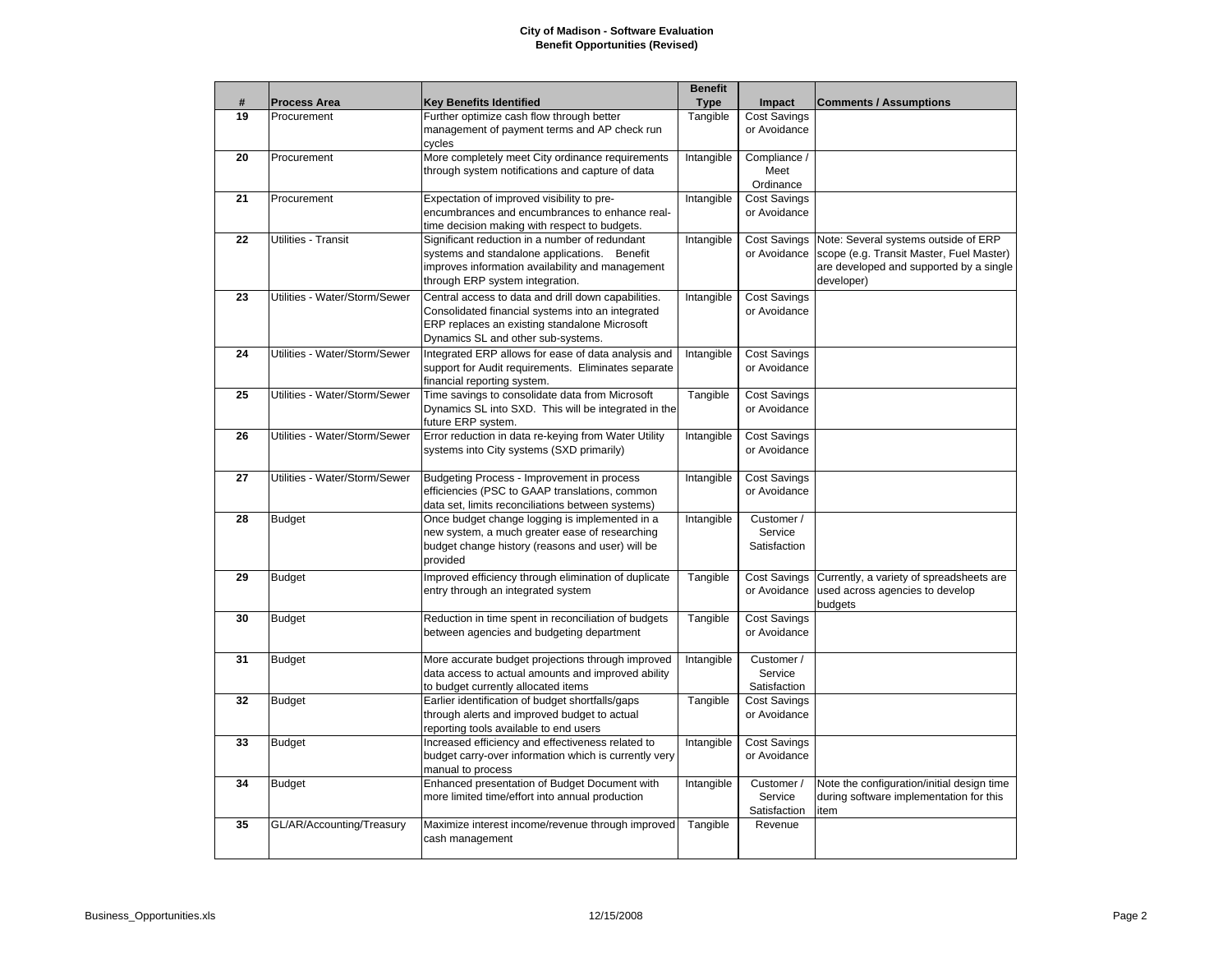## **City of Madison - Software Evaluation Benefit Opportunities (Revised)**

|    |                               |                                                                                                                                                                                                 | <b>Benefit</b> |                                       |                                                                                                                                           |
|----|-------------------------------|-------------------------------------------------------------------------------------------------------------------------------------------------------------------------------------------------|----------------|---------------------------------------|-------------------------------------------------------------------------------------------------------------------------------------------|
| #  | <b>Process Area</b>           | <b>Key Benefits Identified</b>                                                                                                                                                                  | <b>Type</b>    | Impact                                | <b>Comments / Assumptions</b>                                                                                                             |
| 19 | Procurement                   | Further optimize cash flow through better<br>management of payment terms and AP check run<br>cycles                                                                                             | Tangible       | <b>Cost Savings</b><br>or Avoidance   |                                                                                                                                           |
| 20 | Procurement                   | More completely meet City ordinance requirements<br>through system notifications and capture of data                                                                                            | Intangible     | Compliance /<br>Meet<br>Ordinance     |                                                                                                                                           |
| 21 | Procurement                   | Expectation of improved visibility to pre-<br>encumbrances and encumbrances to enhance real-<br>time decision making with respect to budgets.                                                   | Intangible     | <b>Cost Savings</b><br>or Avoidance   |                                                                                                                                           |
| 22 | Utilities - Transit           | Significant reduction in a number of redundant<br>systems and standalone applications. Benefit<br>improves information availability and management<br>through ERP system integration.           | Intangible     | <b>Cost Savings</b><br>or Avoidance   | Note: Several systems outside of ERP<br>scope (e.g. Transit Master, Fuel Master)<br>are developed and supported by a single<br>developer) |
| 23 | Utilities - Water/Storm/Sewer | Central access to data and drill down capabilities.<br>Consolidated financial systems into an integrated<br>ERP replaces an existing standalone Microsoft<br>Dynamics SL and other sub-systems. | Intangible     | <b>Cost Savings</b><br>or Avoidance   |                                                                                                                                           |
| 24 | Utilities - Water/Storm/Sewer | Integrated ERP allows for ease of data analysis and<br>support for Audit requirements. Eliminates separate<br>financial reporting system.                                                       | Intangible     | <b>Cost Savings</b><br>or Avoidance   |                                                                                                                                           |
| 25 | Utilities - Water/Storm/Sewer | Time savings to consolidate data from Microsoft<br>Dynamics SL into SXD. This will be integrated in the<br>future ERP system.                                                                   | Tangible       | <b>Cost Savings</b><br>or Avoidance   |                                                                                                                                           |
| 26 | Utilities - Water/Storm/Sewer | Error reduction in data re-keying from Water Utility<br>systems into City systems (SXD primarily)                                                                                               | Intangible     | <b>Cost Savings</b><br>or Avoidance   |                                                                                                                                           |
| 27 | Utilities - Water/Storm/Sewer | Budgeting Process - Improvement in process<br>efficiencies (PSC to GAAP translations, common<br>data set, limits reconciliations between systems)                                               | Intangible     | <b>Cost Savings</b><br>or Avoidance   |                                                                                                                                           |
| 28 | <b>Budget</b>                 | Once budget change logging is implemented in a<br>new system, a much greater ease of researching<br>budget change history (reasons and user) will be<br>provided                                | Intangible     | Customer /<br>Service<br>Satisfaction |                                                                                                                                           |
| 29 | <b>Budget</b>                 | Improved efficiency through elimination of duplicate<br>entry through an integrated system                                                                                                      | Tangible       | <b>Cost Savings</b><br>or Avoidance   | Currently, a variety of spreadsheets are<br>used across agencies to develop<br>budgets                                                    |
| 30 | <b>Budget</b>                 | Reduction in time spent in reconciliation of budgets<br>between agencies and budgeting department                                                                                               | Tangible       | <b>Cost Savings</b><br>or Avoidance   |                                                                                                                                           |
| 31 | <b>Budget</b>                 | More accurate budget projections through improved<br>data access to actual amounts and improved ability<br>to budget currently allocated items                                                  | Intangible     | Customer /<br>Service<br>Satisfaction |                                                                                                                                           |
| 32 | <b>Budget</b>                 | Earlier identification of budget shortfalls/gaps<br>through alerts and improved budget to actual<br>reporting tools available to end users                                                      | Tangible       | <b>Cost Savings</b><br>or Avoidance   |                                                                                                                                           |
| 33 | <b>Budget</b>                 | Increased efficiency and effectiveness related to<br>budget carry-over information which is currently very<br>manual to process                                                                 | Intangible     | <b>Cost Savings</b><br>or Avoidance   |                                                                                                                                           |
| 34 | <b>Budget</b>                 | Enhanced presentation of Budget Document with<br>more limited time/effort into annual production                                                                                                | Intangible     | Customer /<br>Service<br>Satisfaction | Note the configuration/initial design time<br>during software implementation for this<br>item                                             |
| 35 | GL/AR/Accounting/Treasury     | Maximize interest income/revenue through improved<br>cash management                                                                                                                            | Tangible       | Revenue                               |                                                                                                                                           |